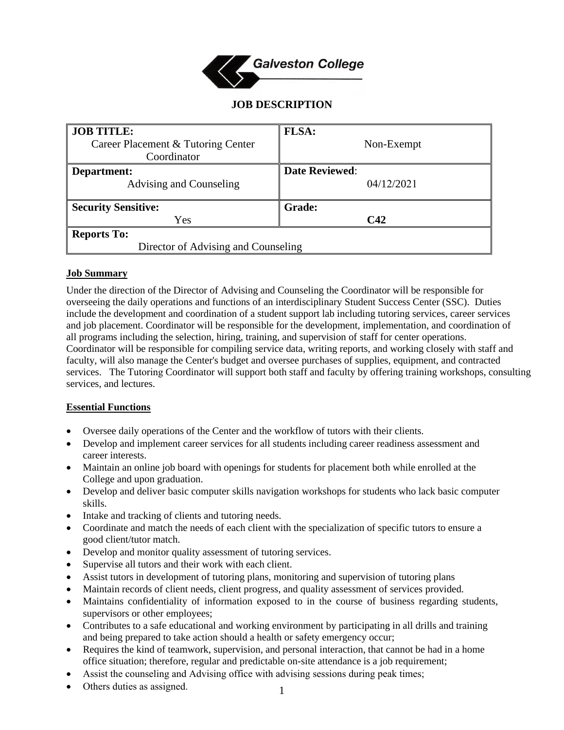

# **JOB DESCRIPTION**

| <b>JOB TITLE:</b>                   | FLSA:                 |
|-------------------------------------|-----------------------|
| Career Placement & Tutoring Center  | Non-Exempt            |
| Coordinator                         |                       |
| Department:                         | <b>Date Reviewed:</b> |
| Advising and Counseling             | 04/12/2021            |
|                                     |                       |
| <b>Security Sensitive:</b>          | <b>Grade:</b>         |
| Yes                                 | C42                   |
| <b>Reports To:</b>                  |                       |
| Director of Advising and Counseling |                       |

### **Job Summary**

Under the direction of the Director of Advising and Counseling the Coordinator will be responsible for overseeing the daily operations and functions of an interdisciplinary Student Success Center (SSC). Duties include the development and coordination of a student support lab including tutoring services, career services and job placement. Coordinator will be responsible for the development, implementation, and coordination of all programs including the selection, hiring, training, and supervision of staff for center operations. Coordinator will be responsible for compiling service data, writing reports, and working closely with staff and faculty, will also manage the Center's budget and oversee purchases of supplies, equipment, and contracted services. The Tutoring Coordinator will support both staff and faculty by offering training workshops, consulting services, and lectures.

### **Essential Functions**

- Oversee daily operations of the Center and the workflow of tutors with their clients.
- Develop and implement career services for all students including career readiness assessment and career interests.
- Maintain an online job board with openings for students for placement both while enrolled at the College and upon graduation.
- Develop and deliver basic computer skills navigation workshops for students who lack basic computer skills.
- Intake and tracking of clients and tutoring needs.
- Coordinate and match the needs of each client with the specialization of specific tutors to ensure a good client/tutor match.
- Develop and monitor quality assessment of tutoring services.
- Supervise all tutors and their work with each client.
- Assist tutors in development of tutoring plans, monitoring and supervision of tutoring plans
- Maintain records of client needs, client progress, and quality assessment of services provided.
- Maintains confidentiality of information exposed to in the course of business regarding students, supervisors or other employees;
- Contributes to a safe educational and working environment by participating in all drills and training and being prepared to take action should a health or safety emergency occur;
- Requires the kind of teamwork, supervision, and personal interaction, that cannot be had in a home office situation; therefore, regular and predictable on-site attendance is a job requirement;
- Assist the counseling and Advising office with advising sessions during peak times;
- Others duties as assigned.